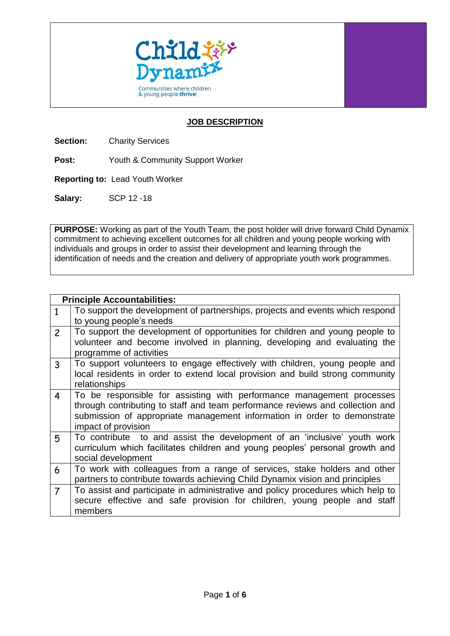

## **JOB DESCRIPTION**

**Section:** Charity Services

**Post:** Youth & Community Support Worker

**Reporting to:** Lead Youth Worker

**Salary:** SCP 12 -18

**PURPOSE:** Working as part of the Youth Team, the post holder will drive forward Child Dynamix commitment to achieving excellent outcomes for all children and young people working with individuals and groups in order to assist their development and learning through the identification of needs and the creation and delivery of appropriate youth work programmes.

|                | <b>Principle Accountabilities:</b>                                                                                                                                                                                                                        |
|----------------|-----------------------------------------------------------------------------------------------------------------------------------------------------------------------------------------------------------------------------------------------------------|
| $\mathbf{1}$   | To support the development of partnerships, projects and events which respond<br>to young people's needs                                                                                                                                                  |
| $\overline{2}$ | To support the development of opportunities for children and young people to<br>volunteer and become involved in planning, developing and evaluating the<br>programme of activities                                                                       |
| $\mathbf{3}$   | To support volunteers to engage effectively with children, young people and<br>local residents in order to extend local provision and build strong community<br>relationships                                                                             |
| $\overline{4}$ | To be responsible for assisting with performance management processes<br>through contributing to staff and team performance reviews and collection and<br>submission of appropriate management information in order to demonstrate<br>impact of provision |
| 5              | To contribute to and assist the development of an 'inclusive' youth work<br>curriculum which facilitates children and young peoples' personal growth and<br>social development                                                                            |
| 6              | To work with colleagues from a range of services, stake holders and other<br>partners to contribute towards achieving Child Dynamix vision and principles                                                                                                 |
| $\overline{7}$ | To assist and participate in administrative and policy procedures which help to<br>secure effective and safe provision for children, young people and staff<br>members                                                                                    |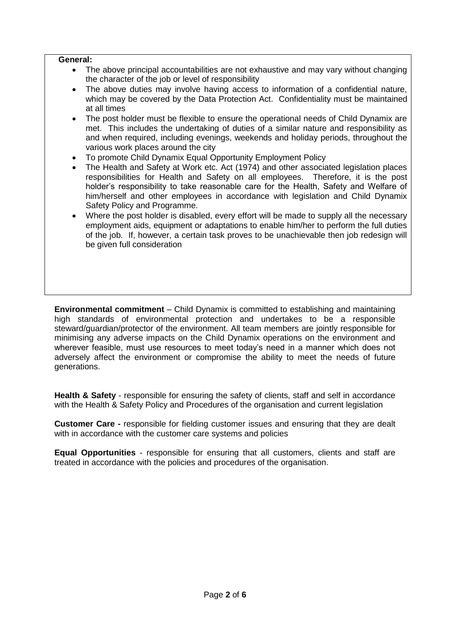## **General:**

- The above principal accountabilities are not exhaustive and may vary without changing the character of the job or level of responsibility
- The above duties may involve having access to information of a confidential nature, which may be covered by the Data Protection Act. Confidentiality must be maintained at all times
- The post holder must be flexible to ensure the operational needs of Child Dynamix are met. This includes the undertaking of duties of a similar nature and responsibility as and when required, including evenings, weekends and holiday periods, throughout the various work places around the city
- To promote Child Dynamix Equal Opportunity Employment Policy
- The Health and Safety at Work etc. Act (1974) and other associated legislation places responsibilities for Health and Safety on all employees. Therefore, it is the post holder's responsibility to take reasonable care for the Health, Safety and Welfare of him/herself and other employees in accordance with legislation and Child Dynamix Safety Policy and Programme.
- Where the post holder is disabled, every effort will be made to supply all the necessary employment aids, equipment or adaptations to enable him/her to perform the full duties of the job. If, however, a certain task proves to be unachievable then job redesign will be given full consideration

**Environmental commitment** – Child Dynamix is committed to establishing and maintaining high standards of environmental protection and undertakes to be a responsible steward/guardian/protector of the environment. All team members are jointly responsible for minimising any adverse impacts on the Child Dynamix operations on the environment and wherever feasible, must use resources to meet today's need in a manner which does not adversely affect the environment or compromise the ability to meet the needs of future generations.

**Health & Safety** - responsible for ensuring the safety of clients, staff and self in accordance with the Health & Safety Policy and Procedures of the organisation and current legislation

**Customer Care -** responsible for fielding customer issues and ensuring that they are dealt with in accordance with the customer care systems and policies

**Equal Opportunities** - responsible for ensuring that all customers, clients and staff are treated in accordance with the policies and procedures of the organisation.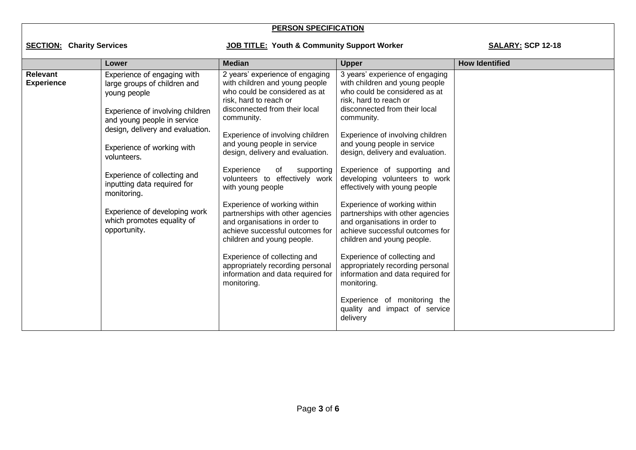## **PERSON SPECIFICATION**

## SECTION: Charity Services **Matchler Community Support Worker** SALARY: SCP 12-18

| <b>Median</b><br><b>How Identified</b><br><b>Upper</b><br>Lower<br><b>Relevant</b><br>2 years' experience of engaging<br>3 years' experience of engaging<br>Experience of engaging with<br>with children and young people<br>with children and young people<br><b>Experience</b><br>large groups of children and<br>who could be considered as at<br>who could be considered as at<br>young people<br>risk, hard to reach or<br>risk, hard to reach or<br>disconnected from their local<br>disconnected from their local<br>Experience of involving children<br>community.<br>community.<br>and young people in service<br>design, delivery and evaluation.<br>Experience of involving children<br>Experience of involving children<br>and young people in service<br>and young people in service<br>Experience of working with<br>design, delivery and evaluation.<br>design, delivery and evaluation.<br>volunteers.<br>Experience of supporting and<br>Experience<br>of<br>supporting<br>Experience of collecting and<br>volunteers to effectively work<br>developing volunteers to work<br>inputting data required for<br>with young people<br>effectively with young people<br>monitoring.<br>Experience of working within<br>Experience of working within<br>Experience of developing work<br>partnerships with other agencies<br>partnerships with other agencies<br>which promotes equality of<br>and organisations in order to<br>and organisations in order to<br>opportunity.<br>achieve successful outcomes for<br>achieve successful outcomes for<br>children and young people.<br>children and young people.<br>Experience of collecting and<br>Experience of collecting and |
|--------------------------------------------------------------------------------------------------------------------------------------------------------------------------------------------------------------------------------------------------------------------------------------------------------------------------------------------------------------------------------------------------------------------------------------------------------------------------------------------------------------------------------------------------------------------------------------------------------------------------------------------------------------------------------------------------------------------------------------------------------------------------------------------------------------------------------------------------------------------------------------------------------------------------------------------------------------------------------------------------------------------------------------------------------------------------------------------------------------------------------------------------------------------------------------------------------------------------------------------------------------------------------------------------------------------------------------------------------------------------------------------------------------------------------------------------------------------------------------------------------------------------------------------------------------------------------------------------------------------------------------------------------------------------------------------|
| appropriately recording personal<br>appropriately recording personal<br>information and data required for<br>information and data required for<br>monitoring.<br>monitoring.<br>Experience of monitoring the<br>quality and impact of service                                                                                                                                                                                                                                                                                                                                                                                                                                                                                                                                                                                                                                                                                                                                                                                                                                                                                                                                                                                                                                                                                                                                                                                                                                                                                                                                                                                                                                              |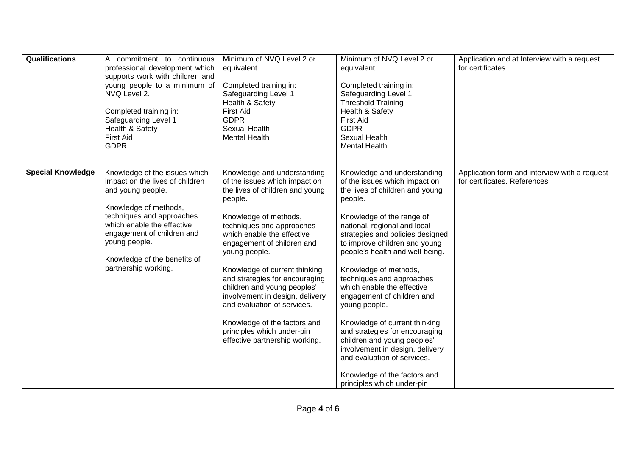| <b>Qualifications</b>    | A commitment to continuous<br>professional development which<br>supports work with children and<br>young people to a minimum of<br>NVQ Level 2.<br>Completed training in:<br>Safeguarding Level 1<br>Health & Safety<br><b>First Aid</b><br><b>GDPR</b>                          | Minimum of NVQ Level 2 or<br>equivalent.<br>Completed training in:<br>Safeguarding Level 1<br>Health & Safety<br><b>First Aid</b><br><b>GDPR</b><br>Sexual Health<br><b>Mental Health</b>                                                                                                                                                                                                                                                                                                                         | Minimum of NVQ Level 2 or<br>equivalent.<br>Completed training in:<br>Safeguarding Level 1<br><b>Threshold Training</b><br>Health & Safety<br><b>First Aid</b><br><b>GDPR</b><br>Sexual Health<br><b>Mental Health</b>                                                                                                                                                                                                                                                                                                                                                                                                                               | Application and at Interview with a request<br>for certificates.              |
|--------------------------|----------------------------------------------------------------------------------------------------------------------------------------------------------------------------------------------------------------------------------------------------------------------------------|-------------------------------------------------------------------------------------------------------------------------------------------------------------------------------------------------------------------------------------------------------------------------------------------------------------------------------------------------------------------------------------------------------------------------------------------------------------------------------------------------------------------|------------------------------------------------------------------------------------------------------------------------------------------------------------------------------------------------------------------------------------------------------------------------------------------------------------------------------------------------------------------------------------------------------------------------------------------------------------------------------------------------------------------------------------------------------------------------------------------------------------------------------------------------------|-------------------------------------------------------------------------------|
| <b>Special Knowledge</b> | Knowledge of the issues which<br>impact on the lives of children<br>and young people.<br>Knowledge of methods,<br>techniques and approaches<br>which enable the effective<br>engagement of children and<br>young people.<br>Knowledge of the benefits of<br>partnership working. | Knowledge and understanding<br>of the issues which impact on<br>the lives of children and young<br>people.<br>Knowledge of methods,<br>techniques and approaches<br>which enable the effective<br>engagement of children and<br>young people.<br>Knowledge of current thinking<br>and strategies for encouraging<br>children and young peoples'<br>involvement in design, delivery<br>and evaluation of services.<br>Knowledge of the factors and<br>principles which under-pin<br>effective partnership working. | Knowledge and understanding<br>of the issues which impact on<br>the lives of children and young<br>people.<br>Knowledge of the range of<br>national, regional and local<br>strategies and policies designed<br>to improve children and young<br>people's health and well-being.<br>Knowledge of methods,<br>techniques and approaches<br>which enable the effective<br>engagement of children and<br>young people.<br>Knowledge of current thinking<br>and strategies for encouraging<br>children and young peoples'<br>involvement in design, delivery<br>and evaluation of services.<br>Knowledge of the factors and<br>principles which under-pin | Application form and interview with a request<br>for certificates. References |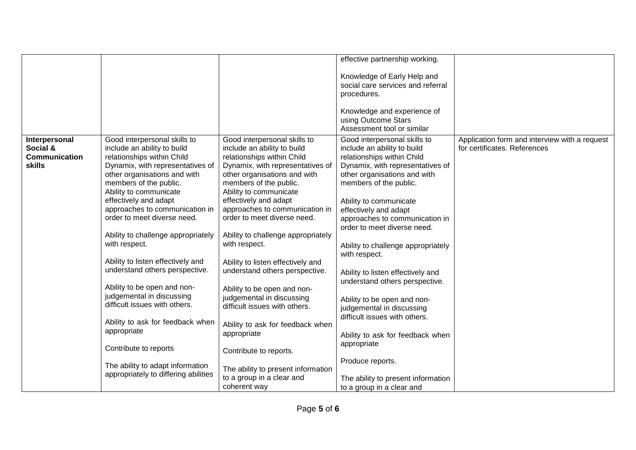|               |                                      |                                    | effective partnership working.     |                                               |
|---------------|--------------------------------------|------------------------------------|------------------------------------|-----------------------------------------------|
|               |                                      |                                    |                                    |                                               |
|               |                                      |                                    | Knowledge of Early Help and        |                                               |
|               |                                      |                                    | social care services and referral  |                                               |
|               |                                      |                                    | procedures.                        |                                               |
|               |                                      |                                    |                                    |                                               |
|               |                                      |                                    | Knowledge and experience of        |                                               |
|               |                                      |                                    | using Outcome Stars                |                                               |
|               |                                      |                                    | Assessment tool or similar         |                                               |
| Interpersonal | Good interpersonal skills to         | Good interpersonal skills to       | Good interpersonal skills to       | Application form and interview with a request |
| Social &      | include an ability to build          | include an ability to build        | include an ability to build        | for certificates. References                  |
| Communication | relationships within Child           | relationships within Child         | relationships within Child         |                                               |
| <b>skills</b> | Dynamix, with representatives of     | Dynamix, with representatives of   | Dynamix, with representatives of   |                                               |
|               | other organisations and with         | other organisations and with       | other organisations and with       |                                               |
|               | members of the public.               | members of the public.             | members of the public.             |                                               |
|               | Ability to communicate               | Ability to communicate             |                                    |                                               |
|               | effectively and adapt                | effectively and adapt              | Ability to communicate             |                                               |
|               | approaches to communication in       | approaches to communication in     | effectively and adapt              |                                               |
|               | order to meet diverse need.          | order to meet diverse need.        | approaches to communication in     |                                               |
|               |                                      |                                    | order to meet diverse need.        |                                               |
|               | Ability to challenge appropriately   | Ability to challenge appropriately |                                    |                                               |
|               | with respect.                        | with respect.                      | Ability to challenge appropriately |                                               |
|               |                                      |                                    | with respect.                      |                                               |
|               | Ability to listen effectively and    | Ability to listen effectively and  |                                    |                                               |
|               | understand others perspective.       | understand others perspective.     |                                    |                                               |
|               |                                      |                                    | Ability to listen effectively and  |                                               |
|               | Ability to be open and non-          | Ability to be open and non-        | understand others perspective.     |                                               |
|               | judgemental in discussing            | judgemental in discussing          |                                    |                                               |
|               | difficult issues with others.        | difficult issues with others.      | Ability to be open and non-        |                                               |
|               |                                      |                                    | judgemental in discussing          |                                               |
|               | Ability to ask for feedback when     |                                    | difficult issues with others.      |                                               |
|               | appropriate                          | Ability to ask for feedback when   |                                    |                                               |
|               |                                      | appropriate                        | Ability to ask for feedback when   |                                               |
|               | Contribute to reports                |                                    | appropriate                        |                                               |
|               |                                      | Contribute to reports.             |                                    |                                               |
|               | The ability to adapt information     |                                    | Produce reports.                   |                                               |
|               | appropriately to differing abilities | The ability to present information |                                    |                                               |
|               |                                      | to a group in a clear and          | The ability to present information |                                               |
|               |                                      | coherent way                       | to a group in a clear and          |                                               |